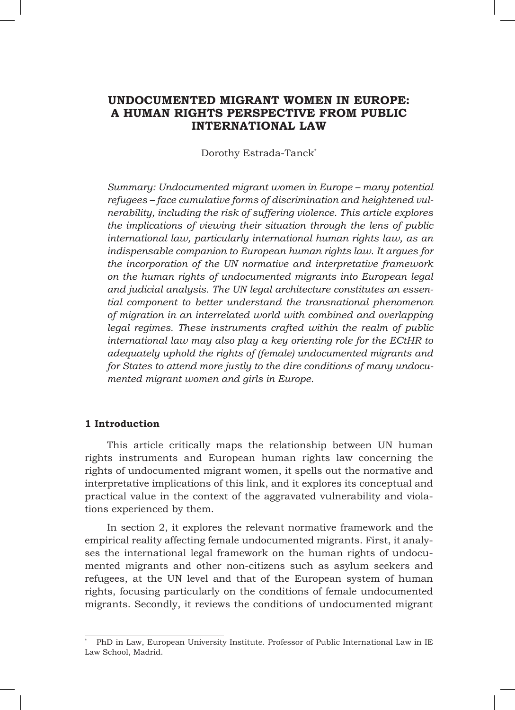# **UNDOCUMENTED MIGRANT WOMEN IN EUROPE: A HUMAN RIGHTS PERSPECTIVE FROM PUBLIC INTERNATIONAL LAW**

### Dorothy Estrada-Tanck\*

*Summary: Undocumented migrant women in Europe – many potential refugees – face cumulative forms of discrimination and heightened vulnerability, including the risk of suffering violence. This article explores the implications of viewing their situation through the lens of public international law, particularly international human rights law, as an indispensable companion to European human rights law. It argues for the incorporation of the UN normative and interpretative framework on the human rights of undocumented migrants into European legal and judicial analysis. The UN legal architecture constitutes an essential component to better understand the transnational phenomenon of migration in an interrelated world with combined and overlapping legal regimes. These instruments crafted within the realm of public international law may also play a key orienting role for the ECtHR to adequately uphold the rights of (female) undocumented migrants and for States to attend more justly to the dire conditions of many undocumented migrant women and girls in Europe.*

#### **1 Introduction**

This article critically maps the relationship between UN human rights instruments and European human rights law concerning the rights of undocumented migrant women, it spells out the normative and interpretative implications of this link, and it explores its conceptual and practical value in the context of the aggravated vulnerability and violations experienced by them.

In section 2, it explores the relevant normative framework and the empirical reality affecting female undocumented migrants. First, it analyses the international legal framework on the human rights of undocumented migrants and other non-citizens such as asylum seekers and refugees, at the UN level and that of the European system of human rights, focusing particularly on the conditions of female undocumented migrants. Secondly, it reviews the conditions of undocumented migrant

PhD in Law, European University Institute. Professor of Public International Law in IE Law School, Madrid.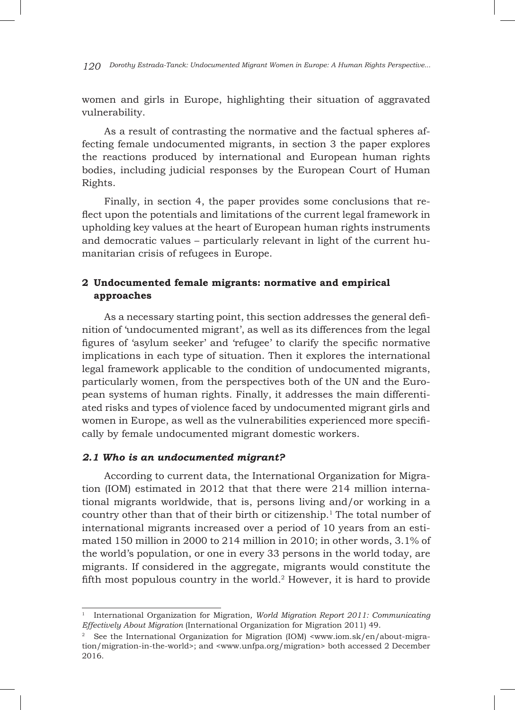120 *Dorothy Estrada-Tanck: Undocumented Migrant Women in Europe: A Human Rights Perspective...* 

women and girls in Europe, highlighting their situation of aggravated vulnerability.

As a result of contrasting the normative and the factual spheres affecting female undocumented migrants, in section 3 the paper explores the reactions produced by international and European human rights bodies, including judicial responses by the European Court of Human Rights.

Finally, in section 4, the paper provides some conclusions that reflect upon the potentials and limitations of the current legal framework in upholding key values at the heart of European human rights instruments and democratic values – particularly relevant in light of the current humanitarian crisis of refugees in Europe.

## **2 Undocumented female migrants: normative and empirical approaches**

As a necessary starting point, this section addresses the general definition of 'undocumented migrant', as well as its differences from the legal figures of 'asylum seeker' and 'refugee' to clarify the specific normative implications in each type of situation. Then it explores the international legal framework applicable to the condition of undocumented migrants, particularly women, from the perspectives both of the UN and the European systems of human rights. Finally, it addresses the main differentiated risks and types of violence faced by undocumented migrant girls and women in Europe, as well as the vulnerabilities experienced more specifically by female undocumented migrant domestic workers.

## *2.1 Who is an undocumented migrant?*

According to current data, the International Organization for Migration (IOM) estimated in 2012 that that there were 214 million international migrants worldwide, that is, persons living and/or working in a country other than that of their birth or citizenship.<sup>1</sup> The total number of international migrants increased over a period of 10 years from an estimated 150 million in 2000 to 214 million in 2010; in other words, 3.1% of the world's population, or one in every 33 persons in the world today, are migrants. If considered in the aggregate, migrants would constitute the fifth most populous country in the world.2 However, it is hard to provide

<sup>1</sup> International Organization for Migration*, World Migration Report 2011: Communicating Effectively About Migration* (International Organization for Migration 2011) 49.

<sup>&</sup>lt;sup>2</sup> See the International Organization for Migration (IOM) <www.iom.sk/en/about-migration/migration-in-the-world>; and <www.unfpa.org/migration> both accessed 2 December 2016.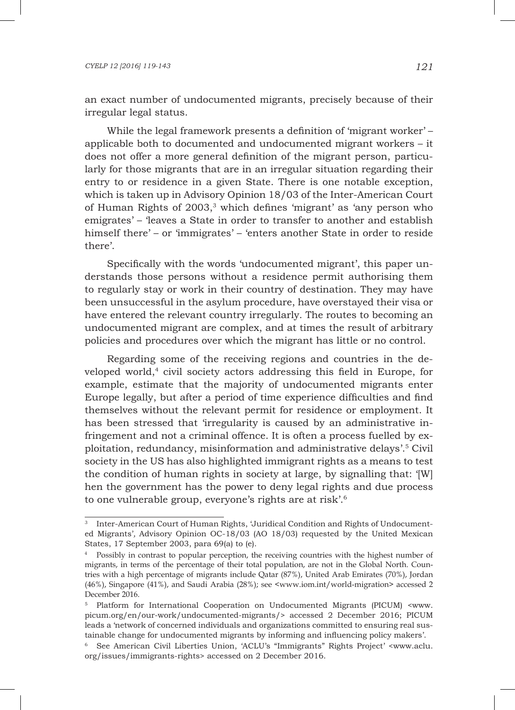an exact number of undocumented migrants, precisely because of their irregular legal status.

While the legal framework presents a definition of 'migrant worker' – applicable both to documented and undocumented migrant workers – it does not offer a more general definition of the migrant person, particularly for those migrants that are in an irregular situation regarding their entry to or residence in a given State. There is one notable exception, which is taken up in Advisory Opinion 18/03 of the Inter-American Court of Human Rights of  $2003<sup>3</sup>$  which defines 'migrant' as 'any person who emigrates' – 'leaves a State in order to transfer to another and establish himself there' – or 'immigrates' – 'enters another State in order to reside there'.

Specifically with the words 'undocumented migrant', this paper understands those persons without a residence permit authorising them to regularly stay or work in their country of destination. They may have been unsuccessful in the asylum procedure, have overstayed their visa or have entered the relevant country irregularly. The routes to becoming an undocumented migrant are complex, and at times the result of arbitrary policies and procedures over which the migrant has little or no control.

Regarding some of the receiving regions and countries in the developed world,4 civil society actors addressing this field in Europe, for example, estimate that the majority of undocumented migrants enter Europe legally, but after a period of time experience difficulties and find themselves without the relevant permit for residence or employment. It has been stressed that 'irregularity is caused by an administrative infringement and not a criminal offence. It is often a process fuelled by exploitation, redundancy, misinformation and administrative delays'.5 Civil society in the US has also highlighted immigrant rights as a means to test the condition of human rights in society at large, by signalling that: '[W] hen the government has the power to deny legal rights and due process to one vulnerable group, everyone's rights are at risk'.6

<sup>3</sup> Inter-American Court of Human Rights, 'Juridical Condition and Rights of Undocumented Migrants'*,* Advisory Opinion OC-18/03 (AO 18/03) requested by the United Mexican States, 17 September 2003, para 69(a) to (e).

<sup>4</sup> Possibly in contrast to popular perception, the receiving countries with the highest number of migrants, in terms of the percentage of their total population, are not in the Global North. Countries with a high percentage of migrants include Qatar (87%), United Arab Emirates (70%), Jordan (46%), Singapore (41%), and Saudi Arabia (28%); see <www.iom.int/world-migration> accessed 2 December 2016.

<sup>5</sup> Platform for International Cooperation on Undocumented Migrants (PICUM) <www. picum.org/en/our-work/undocumented-migrants/> accessed 2 December 2016; PICUM leads a 'network of concerned individuals and organizations committed to ensuring real sustainable change for undocumented migrants by informing and influencing policy makers'.

<sup>6</sup> See American Civil Liberties Union, 'ACLU's "Immigrants" Rights Project' <www.aclu. org/issues/immigrants-rights> accessed on 2 December 2016.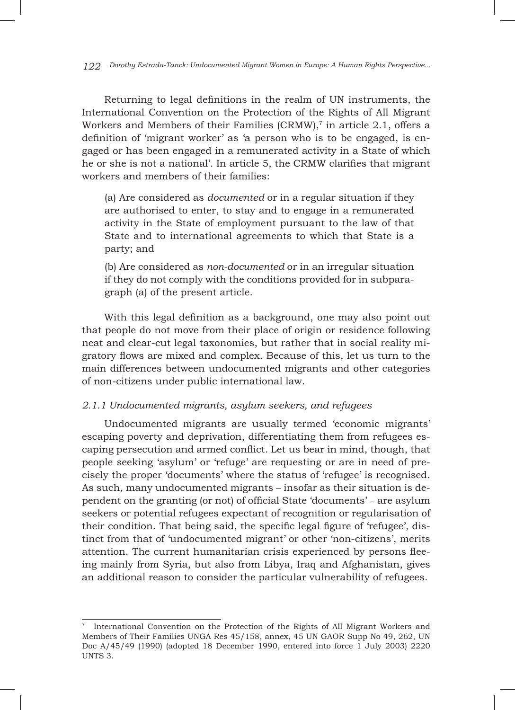Returning to legal definitions in the realm of UN instruments, the International Convention on the Protection of the Rights of All Migrant Workers and Members of their Families  $(CRMW)$ ,<sup>7</sup> in article 2.1, offers a definition of 'migrant worker' as 'a person who is to be engaged, is engaged or has been engaged in a remunerated activity in a State of which he or she is not a national'. In article 5, the CRMW clarifies that migrant workers and members of their families:

(a) Are considered as *documented* or in a regular situation if they are authorised to enter, to stay and to engage in a remunerated activity in the State of employment pursuant to the law of that State and to international agreements to which that State is a party; and

(b) Are considered as *non-documented* or in an irregular situation if they do not comply with the conditions provided for in subparagraph (a) of the present article.

With this legal definition as a background, one may also point out that people do not move from their place of origin or residence following neat and clear-cut legal taxonomies, but rather that in social reality migratory flows are mixed and complex. Because of this, let us turn to the main differences between undocumented migrants and other categories of non-citizens under public international law.

## *2.1.1 Undocumented migrants, asylum seekers, and refugees*

Undocumented migrants are usually termed 'economic migrants' escaping poverty and deprivation, differentiating them from refugees escaping persecution and armed conflict. Let us bear in mind, though, that people seeking 'asylum' or 'refuge' are requesting or are in need of precisely the proper 'documents' where the status of 'refugee' is recognised. As such, many undocumented migrants – insofar as their situation is dependent on the granting (or not) of official State 'documents' – are asylum seekers or potential refugees expectant of recognition or regularisation of their condition. That being said, the specific legal figure of 'refugee', distinct from that of 'undocumented migrant' or other 'non-citizens', merits attention. The current humanitarian crisis experienced by persons fleeing mainly from Syria, but also from Libya, Iraq and Afghanistan, gives an additional reason to consider the particular vulnerability of refugees.

<sup>7</sup> International Convention on the Protection of the Rights of All Migrant Workers and Members of Their Families UNGA Res 45/158, annex, 45 UN GAOR Supp No 49, 262, UN Doc A/45/49 (1990) (adopted 18 December 1990, entered into force 1 July 2003) 2220 UNTS 3.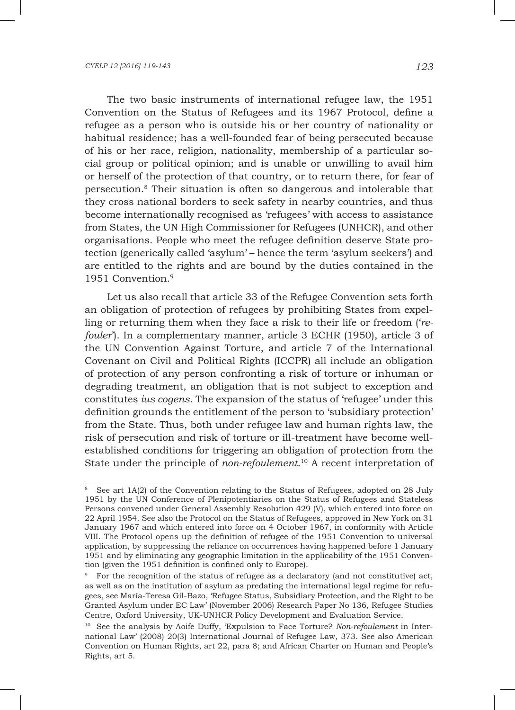The two basic instruments of international refugee law, the 1951 Convention on the Status of Refugees and its 1967 Protocol, define a refugee as a person who is outside his or her country of nationality or habitual residence; has a well-founded fear of being persecuted because of his or her race, religion, nationality, membership of a particular social group or political opinion; and is unable or unwilling to avail him or herself of the protection of that country, or to return there, for fear of persecution.8 Their situation is often so dangerous and intolerable that they cross national borders to seek safety in nearby countries, and thus become internationally recognised as 'refugees' with access to assistance from States, the UN High Commissioner for Refugees (UNHCR), and other organisations. People who meet the refugee definition deserve State protection (generically called 'asylum' – hence the term 'asylum seekers') and are entitled to the rights and are bound by the duties contained in the 1951 Convention.9

Let us also recall that article 33 of the Refugee Convention sets forth an obligation of protection of refugees by prohibiting States from expelling or returning them when they face a risk to their life or freedom ('*refouler*'). In a complementary manner, article 3 ECHR (1950), article 3 of the UN Convention Against Torture, and article 7 of the International Covenant on Civil and Political Rights (ICCPR) all include an obligation of protection of any person confronting a risk of torture or inhuman or degrading treatment, an obligation that is not subject to exception and constitutes *ius cogens*. The expansion of the status of 'refugee' under this definition grounds the entitlement of the person to 'subsidiary protection' from the State. Thus, both under refugee law and human rights law, the risk of persecution and risk of torture or ill-treatment have become wellestablished conditions for triggering an obligation of protection from the State under the principle of *non-refoulement*. 10 A recent interpretation of

<sup>8</sup> See art 1A(2) of the Convention relating to the Status of Refugees, adopted on 28 July 1951 by the UN Conference of Plenipotentiaries on the Status of Refugees and Stateless Persons convened under General Assembly Resolution 429 (V), which entered into force on 22 April 1954. See also the Protocol on the Status of Refugees, approved in New York on 31 January 1967 and which entered into force on 4 October 1967, in conformity with Article VIII. The Protocol opens up the definition of refugee of the 1951 Convention to universal application, by suppressing the reliance on occurrences having happened before 1 January 1951 and by eliminating any geographic limitation in the applicability of the 1951 Convention (given the 1951 definition is confined only to Europe).

<sup>9</sup> For the recognition of the status of refugee as a declaratory (and not constitutive) act, as well as on the institution of asylum as predating the international legal regime for refugees, see María-Teresa Gil-Bazo, 'Refugee Status, Subsidiary Protection, and the Right to be Granted Asylum under EC Law' (November 2006) Research Paper No 136, Refugee Studies Centre, Oxford University, UK-UNHCR Policy Development and Evaluation Service.

<sup>10</sup> See the analysis by Aoife Duffy, 'Expulsion to Face Torture? *Non-refoulement* in International Law' (2008) 20(3) International Journal of Refugee Law, 373. See also American Convention on Human Rights, art 22, para 8; and African Charter on Human and People's Rights, art 5.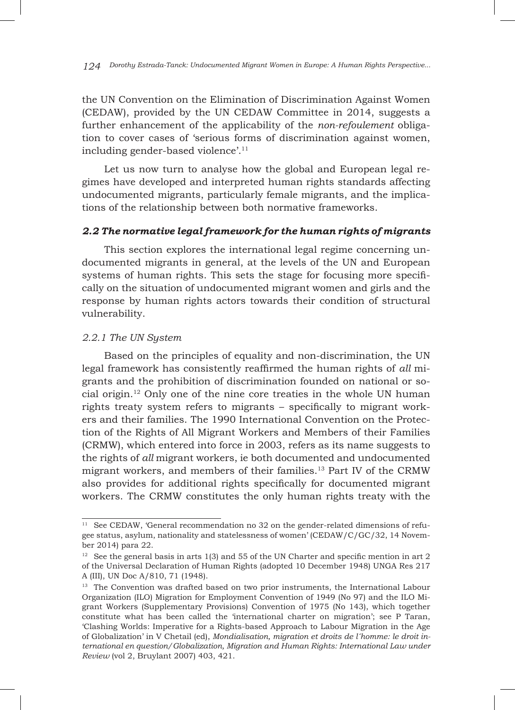the UN Convention on the Elimination of Discrimination Against Women (CEDAW), provided by the UN CEDAW Committee in 2014, suggests a further enhancement of the applicability of the *non-refoulement* obligation to cover cases of 'serious forms of discrimination against women, including gender-based violence'.11

Let us now turn to analyse how the global and European legal regimes have developed and interpreted human rights standards affecting undocumented migrants, particularly female migrants, and the implications of the relationship between both normative frameworks.

## *2.2 The normative legal framework for the human rights of migrants*

This section explores the international legal regime concerning undocumented migrants in general, at the levels of the UN and European systems of human rights. This sets the stage for focusing more specifically on the situation of undocumented migrant women and girls and the response by human rights actors towards their condition of structural vulnerability.

#### *2.2.1 The UN System*

Based on the principles of equality and non-discrimination, the UN legal framework has consistently reaffirmed the human rights of *all* migrants and the prohibition of discrimination founded on national or social origin.12 Only one of the nine core treaties in the whole UN human rights treaty system refers to migrants – specifically to migrant workers and their families. The 1990 International Convention on the Protection of the Rights of All Migrant Workers and Members of their Families (CRMW), which entered into force in 2003, refers as its name suggests to the rights of *all* migrant workers, ie both documented and undocumented migrant workers, and members of their families.13 Part IV of the CRMW also provides for additional rights specifically for documented migrant workers. The CRMW constitutes the only human rights treaty with the

 $11$  See CEDAW, 'General recommendation no 32 on the gender-related dimensions of refugee status, asylum, nationality and statelessness of women' (CEDAW/C/GC/32, 14 November 2014) para 22.

<sup>&</sup>lt;sup>12</sup> See the general basis in arts 1(3) and 55 of the UN Charter and specific mention in art 2 of the Universal Declaration of Human Rights (adopted 10 December 1948) UNGA Res 217 A (III), UN Doc A/810, 71 (1948).

<sup>&</sup>lt;sup>13</sup> The Convention was drafted based on two prior instruments, the International Labour Organization (ILO) Migration for Employment Convention of 1949 (No 97) and the ILO Migrant Workers (Supplementary Provisions) Convention of 1975 (No 143), which together constitute what has been called the 'international charter on migration'; see P Taran, 'Clashing Worlds: Imperative for a Rights-based Approach to Labour Migration in the Age of Globalization' in V Chetail (ed), *Mondialisation, migration et droits de l´homme: le droit international en question/Globalization, Migration and Human Rights: International Law under Review* (vol 2, Bruylant 2007) 403, 421.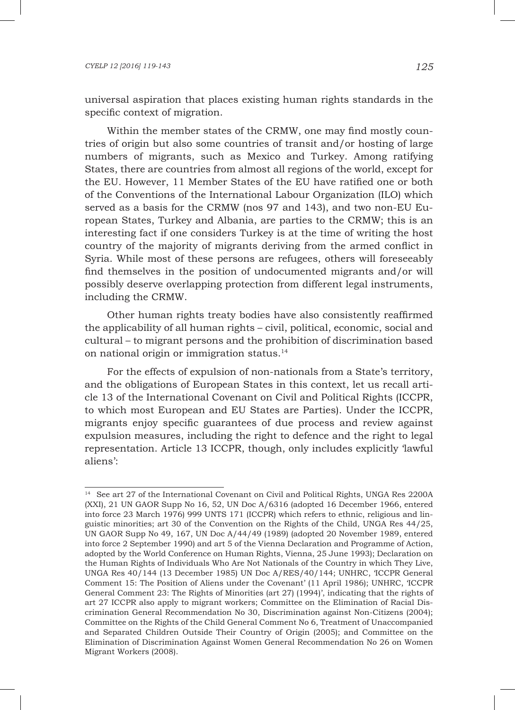universal aspiration that places existing human rights standards in the specific context of migration.

Within the member states of the CRMW, one may find mostly countries of origin but also some countries of transit and/or hosting of large numbers of migrants, such as Mexico and Turkey. Among ratifying States, there are countries from almost all regions of the world, except for the EU. However, 11 Member States of the EU have ratified one or both of the Conventions of the International Labour Organization (ILO) which served as a basis for the CRMW (nos 97 and 143), and two non-EU European States, Turkey and Albania, are parties to the CRMW; this is an interesting fact if one considers Turkey is at the time of writing the host country of the majority of migrants deriving from the armed conflict in Syria. While most of these persons are refugees, others will foreseeably find themselves in the position of undocumented migrants and/or will possibly deserve overlapping protection from different legal instruments, including the CRMW.

Other human rights treaty bodies have also consistently reaffirmed the applicability of all human rights – civil, political, economic, social and cultural – to migrant persons and the prohibition of discrimination based on national origin or immigration status.14

For the effects of expulsion of non-nationals from a State's territory, and the obligations of European States in this context, let us recall article 13 of the International Covenant on Civil and Political Rights (ICCPR, to which most European and EU States are Parties). Under the ICCPR, migrants enjoy specific guarantees of due process and review against expulsion measures, including the right to defence and the right to legal representation. Article 13 ICCPR, though, only includes explicitly 'lawful aliens':

<sup>&</sup>lt;sup>14</sup> See art 27 of the International Covenant on Civil and Political Rights, UNGA Res 2200A (XXI), 21 UN GAOR Supp No 16, 52, UN Doc A/6316 (adopted 16 December 1966, entered into force 23 March 1976) 999 UNTS 171 (ICCPR) which refers to ethnic, religious and linguistic minorities; art 30 of the Convention on the Rights of the Child, UNGA Res 44/25, UN GAOR Supp No 49, 167, UN Doc A/44/49 (1989) (adopted 20 November 1989, entered into force 2 September 1990) and art 5 of the Vienna Declaration and Programme of Action, adopted by the World Conference on Human Rights, Vienna, 25 June 1993); Declaration on the Human Rights of Individuals Who Are Not Nationals of the Country in which They Live, UNGA Res 40/144 (13 December 1985) UN Doc A/RES/40/144; UNHRC, 'ICCPR General Comment 15: The Position of Aliens under the Covenant' (11 April 1986); UNHRC, 'ICCPR General Comment 23: The Rights of Minorities (art 27) (1994)', indicating that the rights of art 27 ICCPR also apply to migrant workers; Committee on the Elimination of Racial Discrimination General Recommendation No 30, Discrimination against Non-Citizens (2004); Committee on the Rights of the Child General Comment No 6, Treatment of Unaccompanied and Separated Children Outside Their Country of Origin (2005); and Committee on the Elimination of Discrimination Against Women General Recommendation No 26 on Women Migrant Workers (2008).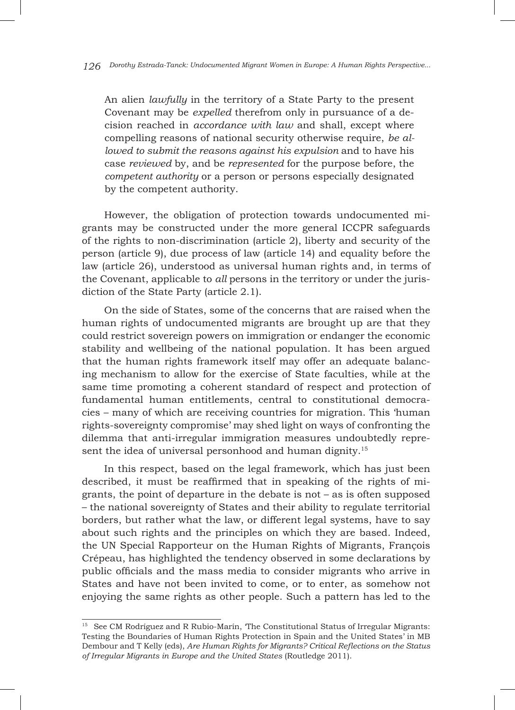An alien *lawfully* in the territory of a State Party to the present Covenant may be *expelled* therefrom only in pursuance of a decision reached in *accordance with law* and shall, except where compelling reasons of national security otherwise require, *be allowed to submit the reasons against his expulsion* and to have his case *reviewed* by, and be *represented* for the purpose before, the *competent authority* or a person or persons especially designated by the competent authority.

However, the obligation of protection towards undocumented migrants may be constructed under the more general ICCPR safeguards of the rights to non-discrimination (article 2), liberty and security of the person (article 9), due process of law (article 14) and equality before the law (article 26), understood as universal human rights and, in terms of the Covenant, applicable to *all* persons in the territory or under the jurisdiction of the State Party (article 2.1).

On the side of States, some of the concerns that are raised when the human rights of undocumented migrants are brought up are that they could restrict sovereign powers on immigration or endanger the economic stability and wellbeing of the national population. It has been argued that the human rights framework itself may offer an adequate balancing mechanism to allow for the exercise of State faculties, while at the same time promoting a coherent standard of respect and protection of fundamental human entitlements, central to constitutional democracies – many of which are receiving countries for migration. This 'human rights-sovereignty compromise' may shed light on ways of confronting the dilemma that anti-irregular immigration measures undoubtedly represent the idea of universal personhood and human dignity.<sup>15</sup>

In this respect, based on the legal framework, which has just been described, it must be reaffirmed that in speaking of the rights of migrants, the point of departure in the debate is not – as is often supposed – the national sovereignty of States and their ability to regulate territorial borders, but rather what the law, or different legal systems, have to say about such rights and the principles on which they are based. Indeed, the UN Special Rapporteur on the Human Rights of Migrants, François Crépeau, has highlighted the tendency observed in some declarations by public officials and the mass media to consider migrants who arrive in States and have not been invited to come, or to enter, as somehow not enjoying the same rights as other people. Such a pattern has led to the

<sup>&</sup>lt;sup>15</sup> See CM Rodríguez and R Rubio-Marín, 'The Constitutional Status of Irregular Migrants: Testing the Boundaries of Human Rights Protection in Spain and the United States' in MB Dembour and T Kelly (eds), *Are Human Rights for Migrants? Critical Reflections on the Status of Irregular Migrants in Europe and the United States* (Routledge 2011).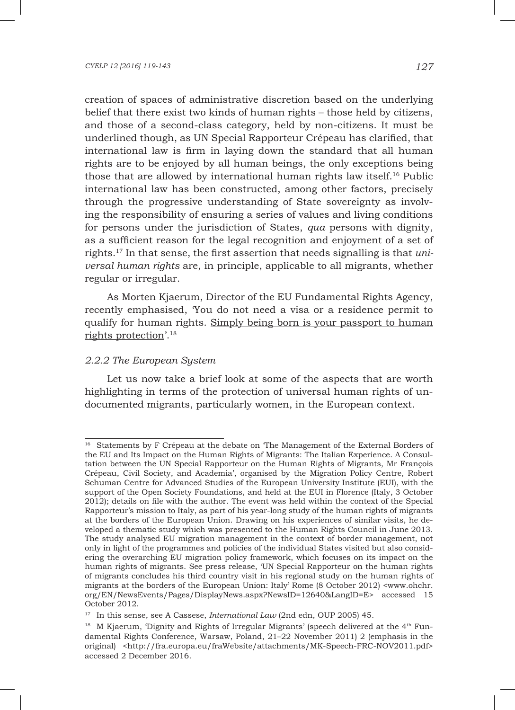creation of spaces of administrative discretion based on the underlying belief that there exist two kinds of human rights – those held by citizens, and those of a second-class category, held by non-citizens. It must be underlined though, as UN Special Rapporteur Crépeau has clarified, that international law is firm in laying down the standard that all human rights are to be enjoyed by all human beings, the only exceptions being those that are allowed by international human rights law itself.16 Public international law has been constructed, among other factors, precisely through the progressive understanding of State sovereignty as involving the responsibility of ensuring a series of values and living conditions for persons under the jurisdiction of States, *qua* persons with dignity, as a sufficient reason for the legal recognition and enjoyment of a set of rights.17 In that sense, the first assertion that needs signalling is that *universal human rights* are, in principle, applicable to all migrants, whether regular or irregular.

As Morten Kjaerum, Director of the EU Fundamental Rights Agency, recently emphasised, 'You do not need a visa or a residence permit to qualify for human rights. Simply being born is your passport to human rights protection'.18

### *2.2.2 The European System*

Let us now take a brief look at some of the aspects that are worth highlighting in terms of the protection of universal human rights of undocumented migrants, particularly women, in the European context.

<sup>&</sup>lt;sup>16</sup> Statements by F Crépeau at the debate on The Management of the External Borders of the EU and Its Impact on the Human Rights of Migrants: The Italian Experience. A Consultation between the UN Special Rapporteur on the Human Rights of Migrants, Mr François Crépeau, Civil Society, and Academia', organised by the Migration Policy Centre, Robert Schuman Centre for Advanced Studies of the European University Institute (EUI), with the support of the Open Society Foundations, and held at the EUI in Florence (Italy, 3 October 2012); details on file with the author. The event was held within the context of the Special Rapporteur's mission to Italy, as part of his year-long study of the human rights of migrants at the borders of the European Union. Drawing on his experiences of similar visits, he developed a thematic study which was presented to the Human Rights Council in June 2013. The study analysed EU migration management in the context of border management, not only in light of the programmes and policies of the individual States visited but also considering the overarching EU migration policy framework, which focuses on its impact on the human rights of migrants. See press release, 'UN Special Rapporteur on the human rights of migrants concludes his third country visit in his regional study on the human rights of migrants at the borders of the European Union: Italy' Rome (8 October 2012) <www.ohchr. org/EN/NewsEvents/Pages/DisplayNews.aspx?NewsID=12640&LangID=E> accessed 15 October 2012.

<sup>&</sup>lt;sup>17</sup> In this sense, see A Cassese, *International Law* (2nd edn, OUP 2005) 45.

<sup>&</sup>lt;sup>18</sup> M Kjaerum, 'Dignity and Rights of Irregular Migrants' (speech delivered at the 4<sup>th</sup> Fundamental Rights Conference, Warsaw, Poland, 21–22 November 2011) 2 (emphasis in the original) <http://fra.europa.eu/fraWebsite/attachments/MK-Speech-FRC-NOV2011.pdf> accessed 2 December 2016.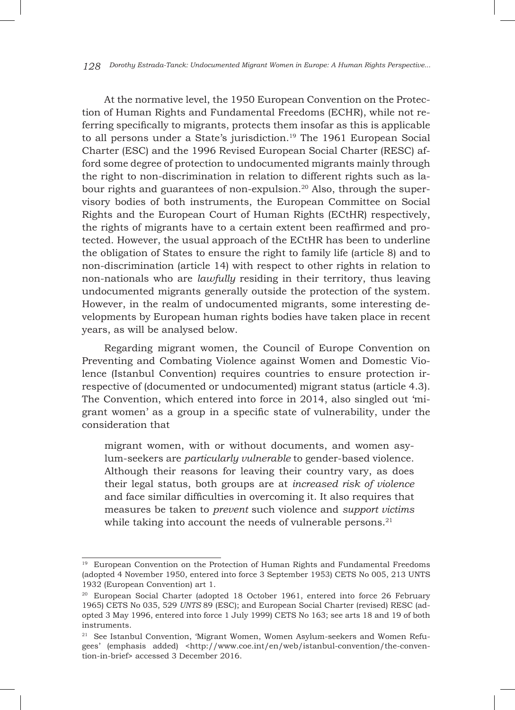At the normative level, the 1950 European Convention on the Protection of Human Rights and Fundamental Freedoms (ECHR), while not referring specifically to migrants, protects them insofar as this is applicable to all persons under a State's jurisdiction.<sup>19</sup> The 1961 European Social Charter (ESC) and the 1996 Revised European Social Charter (RESC) afford some degree of protection to undocumented migrants mainly through the right to non-discrimination in relation to different rights such as labour rights and guarantees of non-expulsion.<sup>20</sup> Also, through the supervisory bodies of both instruments, the European Committee on Social Rights and the European Court of Human Rights (ECtHR) respectively, the rights of migrants have to a certain extent been reaffirmed and protected. However, the usual approach of the ECtHR has been to underline the obligation of States to ensure the right to family life (article 8) and to non-discrimination (article 14) with respect to other rights in relation to non-nationals who are *lawfully* residing in their territory, thus leaving undocumented migrants generally outside the protection of the system. However, in the realm of undocumented migrants, some interesting developments by European human rights bodies have taken place in recent years, as will be analysed below.

Regarding migrant women, the Council of Europe Convention on Preventing and Combating Violence against Women and Domestic Violence (Istanbul Convention) requires countries to ensure protection irrespective of (documented or undocumented) migrant status (article 4.3). The Convention, which entered into force in 2014, also singled out 'migrant women' as a group in a specific state of vulnerability, under the consideration that

migrant women, with or without documents, and women asylum-seekers are *particularly vulnerable* to gender-based violence. Although their reasons for leaving their country vary, as does their legal status, both groups are at *increased risk of violence* and face similar difficulties in overcoming it. It also requires that measures be taken to *prevent* such violence and *support victims* while taking into account the needs of vulnerable persons. $21$ 

<sup>&</sup>lt;sup>19</sup> European Convention on the Protection of Human Rights and Fundamental Freedoms (adopted 4 November 1950, entered into force 3 September 1953) CETS No 005, 213 UNTS 1932 (European Convention) art 1.

<sup>20</sup> European Social Charter (adopted 18 October 1961, entered into force 26 February 1965) CETS No 035, 529 *UNTS* 89 (ESC); and European Social Charter (revised) RESC (adopted 3 May 1996, entered into force 1 July 1999) CETS No 163; see arts 18 and 19 of both instruments.

<sup>21</sup> See Istanbul Convention, 'Migrant Women, Women Asylum-seekers and Women Refugees' (emphasis added) <http://www.coe.int/en/web/istanbul-convention/the-convention-in-brief> accessed 3 December 2016.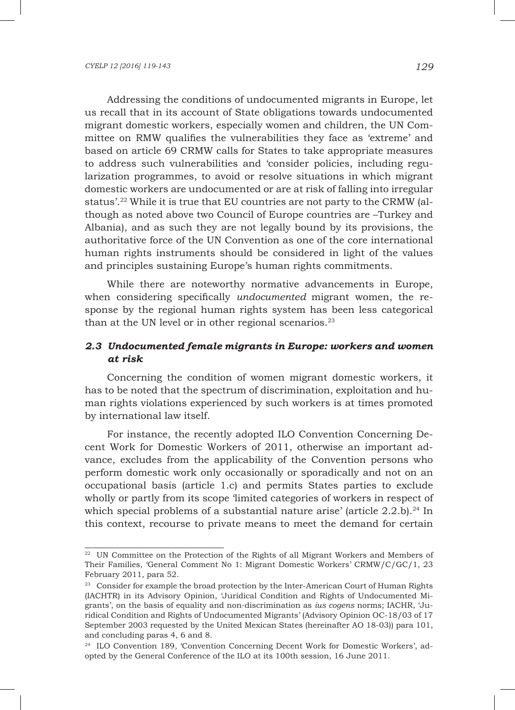Addressing the conditions of undocumented migrants in Europe, let us recall that in its account of State obligations towards undocumented migrant domestic workers, especially women and children, the UN Committee on RMW qualifies the vulnerabilities they face as 'extreme' and based on article 69 CRMW calls for States to take appropriate measures to address such vulnerabilities and 'consider policies, including regularization programmes, to avoid or resolve situations in which migrant domestic workers are undocumented or are at risk of falling into irregular status'.22 While it is true that EU countries are not party to the CRMW (although as noted above two Council of Europe countries are –Turkey and Albania), and as such they are not legally bound by its provisions, the authoritative force of the UN Convention as one of the core international human rights instruments should be considered in light of the values and principles sustaining Europe's human rights commitments.

While there are noteworthy normative advancements in Europe, when considering specifically *undocumented* migrant women, the response by the regional human rights system has been less categorical than at the UN level or in other regional scenarios. $23$ 

## *2.3 Undocumented female migrants in Europe: workers and women at risk*

Concerning the condition of women migrant domestic workers, it has to be noted that the spectrum of discrimination, exploitation and human rights violations experienced by such workers is at times promoted by international law itself.

For instance, the recently adopted ILO Convention Concerning Decent Work for Domestic Workers of 2011, otherwise an important advance, excludes from the applicability of the Convention persons who perform domestic work only occasionally or sporadically and not on an occupational basis (article 1.c) and permits States parties to exclude wholly or partly from its scope 'limited categories of workers in respect of which special problems of a substantial nature arise' (article 2.2.b).<sup>24</sup> In this context, recourse to private means to meet the demand for certain

<sup>&</sup>lt;sup>22</sup> UN Committee on the Protection of the Rights of all Migrant Workers and Members of Their Families, 'General Comment No 1: Migrant Domestic Workers' CRMW/C/GC/1, 23 February 2011, para 52.

<sup>&</sup>lt;sup>23</sup> Consider for example the broad protection by the Inter-American Court of Human Rights (IACHTR) in its Advisory Opinion, 'Juridical Condition and Rights of Undocumented Migrants', on the basis of equality and non-discrimination as *ius cogens* norms; IACHR, 'Juridical Condition and Rights of Undocumented Migrants' (Advisory Opinion OC-18/03 of 17 September 2003 requested by the United Mexican States (hereinafter AO 18-03)) para 101, and concluding paras 4, 6 and 8.

<sup>24</sup> ILO Convention 189, 'Convention Concerning Decent Work for Domestic Workers', adopted by the General Conference of the ILO at its 100th session, 16 June 2011.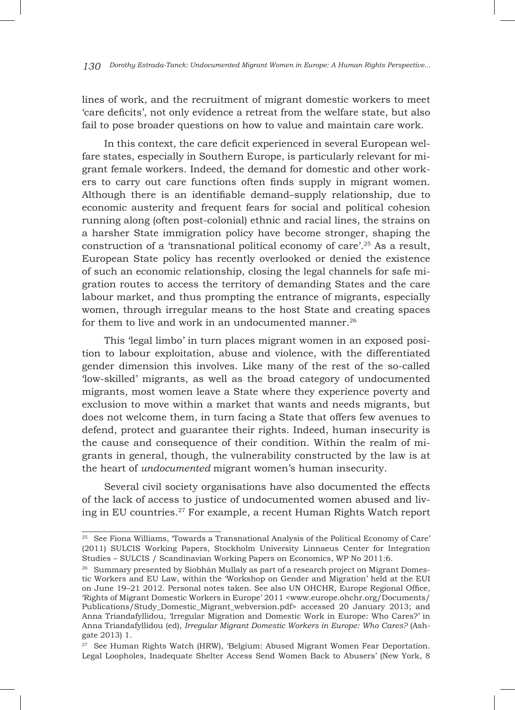130 *Dorothy Estrada-Tanck: Undocumented Migrant Women in Europe: A Human Rights Perspective...* 

lines of work, and the recruitment of migrant domestic workers to meet 'care deficits', not only evidence a retreat from the welfare state, but also fail to pose broader questions on how to value and maintain care work.

In this context, the care deficit experienced in several European welfare states, especially in Southern Europe, is particularly relevant for migrant female workers. Indeed, the demand for domestic and other workers to carry out care functions often finds supply in migrant women. Although there is an identifiable demand–supply relationship, due to economic austerity and frequent fears for social and political cohesion running along (often post-colonial) ethnic and racial lines, the strains on a harsher State immigration policy have become stronger, shaping the construction of a 'transnational political economy of care'.25 As a result, European State policy has recently overlooked or denied the existence of such an economic relationship, closing the legal channels for safe migration routes to access the territory of demanding States and the care labour market, and thus prompting the entrance of migrants, especially women, through irregular means to the host State and creating spaces for them to live and work in an undocumented manner.<sup>26</sup>

This 'legal limbo' in turn places migrant women in an exposed position to labour exploitation, abuse and violence, with the differentiated gender dimension this involves. Like many of the rest of the so-called 'low-skilled' migrants, as well as the broad category of undocumented migrants, most women leave a State where they experience poverty and exclusion to move within a market that wants and needs migrants, but does not welcome them, in turn facing a State that offers few avenues to defend, protect and guarantee their rights. Indeed, human insecurity is the cause and consequence of their condition. Within the realm of migrants in general, though, the vulnerability constructed by the law is at the heart of *undocumented* migrant women's human insecurity.

Several civil society organisations have also documented the effects of the lack of access to justice of undocumented women abused and living in EU countries.27 For example, a recent Human Rights Watch report

<sup>25</sup> See Fiona Williams, 'Towards a Transnational Analysis of the Political Economy of Care' (2011) SULCIS Working Papers, Stockholm University Linnaeus Center for Integration Studies – SULCIS / Scandinavian Working Papers on Economics, WP No 2011:6.

<sup>&</sup>lt;sup>26</sup> Summary presented by Siobhán Mullaly as part of a research project on Migrant Domestic Workers and EU Law, within the 'Workshop on Gender and Migration' held at the EUI on June 19–21 2012. Personal notes taken. See also UN OHCHR, Europe Regional Office, 'Rights of Migrant Domestic Workers in Europe' 2011 <www.europe.ohchr.org/Documents/ Publications/Study\_Domestic\_Migrant\_webversion.pdf> accessed 20 January 2013; and Anna Triandafyllidou, 'Irregular Migration and Domestic Work in Europe: Who Cares?' in Anna Triandafyllidou (ed), *Irregular Migrant Domestic Workers in Europe: Who Cares?* (Ashgate 2013) 1.

<sup>&</sup>lt;sup>27</sup> See Human Rights Watch (HRW), 'Belgium: Abused Migrant Women Fear Deportation. Legal Loopholes, Inadequate Shelter Access Send Women Back to Abusers' (New York, 8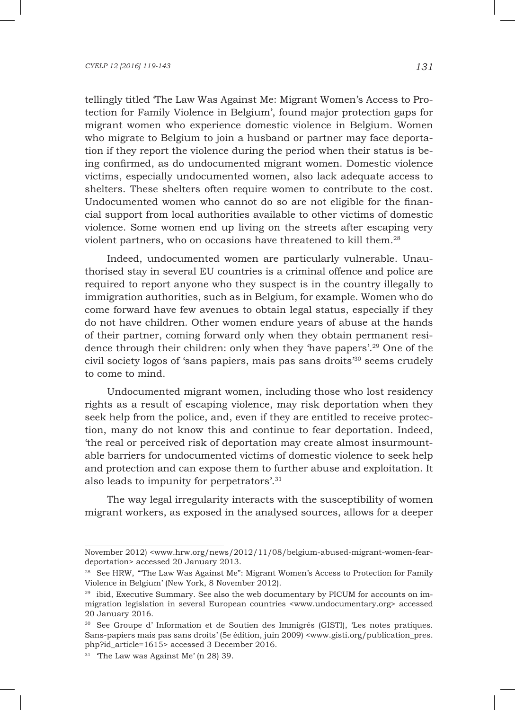tellingly titled 'The Law Was Against Me: Migrant Women's Access to Protection for Family Violence in Belgium', found major protection gaps for migrant women who experience domestic violence in Belgium. Women who migrate to Belgium to join a husband or partner may face deportation if they report the violence during the period when their status is being confirmed, as do undocumented migrant women. Domestic violence victims, especially undocumented women, also lack adequate access to shelters. These shelters often require women to contribute to the cost. Undocumented women who cannot do so are not eligible for the financial support from local authorities available to other victims of domestic violence. Some women end up living on the streets after escaping very violent partners, who on occasions have threatened to kill them.28

Indeed, undocumented women are particularly vulnerable. Unauthorised stay in several EU countries is a criminal offence and police are required to report anyone who they suspect is in the country illegally to immigration authorities, such as in Belgium, for example. Women who do come forward have few avenues to obtain legal status, especially if they do not have children. Other women endure years of abuse at the hands of their partner, coming forward only when they obtain permanent residence through their children: only when they 'have papers'.29 One of the civil society logos of 'sans papiers, mais pas sans droits'30 seems crudely to come to mind.

Undocumented migrant women, including those who lost residency rights as a result of escaping violence, may risk deportation when they seek help from the police, and, even if they are entitled to receive protection, many do not know this and continue to fear deportation. Indeed, 'the real or perceived risk of deportation may create almost insurmountable barriers for undocumented victims of domestic violence to seek help and protection and can expose them to further abuse and exploitation. It also leads to impunity for perpetrators'.31

The way legal irregularity interacts with the susceptibility of women migrant workers, as exposed in the analysed sources, allows for a deeper

November 2012) <www.hrw.org/news/2012/11/08/belgium-abused-migrant-women-feardeportation> accessed 20 January 2013.

<sup>28</sup> See HRW, *'*"The Law Was Against Me": Migrant Women's Access to Protection for Family Violence in Belgium' (New York, 8 November 2012).

<sup>&</sup>lt;sup>29</sup> ibid, Executive Summary. See also the web documentary by PICUM for accounts on immigration legislation in several European countries <www.undocumentary.org> accessed 20 January 2016.

<sup>30</sup> See Groupe d' Information et de Soutien des Immigrés (GISTI), 'Les notes pratiques. Sans-papiers mais pas sans droits' (5e édition, juin 2009) <www.gisti.org/publication\_pres. php?id\_article=1615> accessed 3 December 2016.

 $31$  The Law was Against Me' (n 28) 39.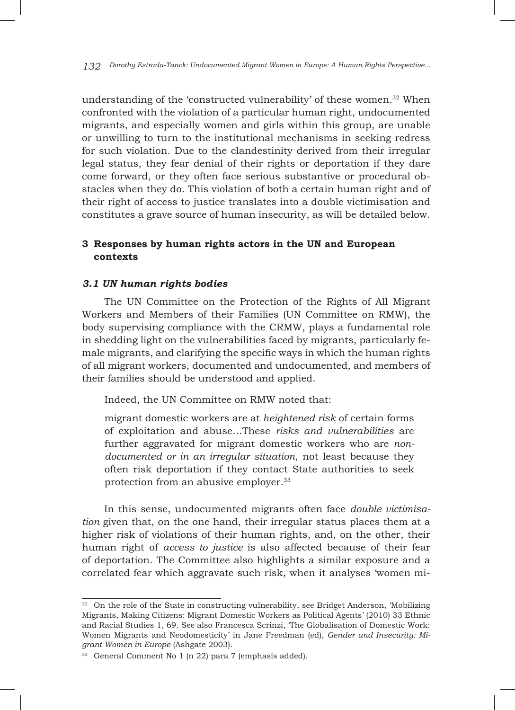understanding of the 'constructed vulnerability' of these women.32 When confronted with the violation of a particular human right, undocumented migrants, and especially women and girls within this group, are unable or unwilling to turn to the institutional mechanisms in seeking redress for such violation. Due to the clandestinity derived from their irregular legal status, they fear denial of their rights or deportation if they dare come forward, or they often face serious substantive or procedural obstacles when they do. This violation of both a certain human right and of their right of access to justice translates into a double victimisation and constitutes a grave source of human insecurity, as will be detailed below.

## **3 Responses by human rights actors in the UN and European contexts**

## *3.1 UN human rights bodies*

The UN Committee on the Protection of the Rights of All Migrant Workers and Members of their Families (UN Committee on RMW), the body supervising compliance with the CRMW, plays a fundamental role in shedding light on the vulnerabilities faced by migrants, particularly female migrants, and clarifying the specific ways in which the human rights of all migrant workers, documented and undocumented, and members of their families should be understood and applied.

Indeed, the UN Committee on RMW noted that:

migrant domestic workers are at *heightened risk* of certain forms of exploitation and abuse…These *risks and vulnerabilities* are further aggravated for migrant domestic workers who are *nondocumented or in an irregular situation*, not least because they often risk deportation if they contact State authorities to seek protection from an abusive employer.<sup>33</sup>

In this sense, undocumented migrants often face *double victimisation* given that, on the one hand, their irregular status places them at a higher risk of violations of their human rights, and, on the other, their human right of *access to justice* is also affected because of their fear of deportation. The Committee also highlights a similar exposure and a correlated fear which aggravate such risk, when it analyses 'women mi-

<sup>&</sup>lt;sup>32</sup> On the role of the State in constructing vulnerability, see Bridget Anderson, 'Mobilizing Migrants, Making Citizens: Migrant Domestic Workers as Political Agents' (2010) 33 Ethnic and Racial Studies 1, 69. See also Francesca Scrinzi, 'The Globalisation of Domestic Work: Women Migrants and Neodomesticity' in Jane Freedman (ed), *Gender and Insecurity: Migrant Women in Europe* (Ashgate 2003).

<sup>33</sup> General Comment No 1 (n 22) para 7 (emphasis added).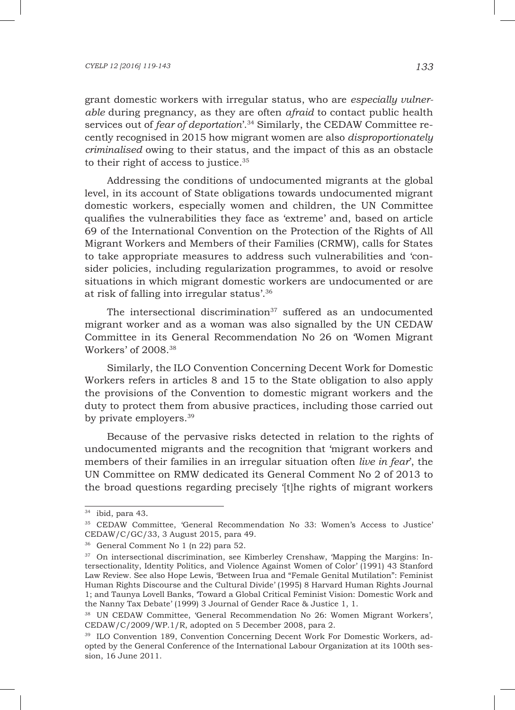grant domestic workers with irregular status, who are *especially vulnerable* during pregnancy, as they are often *afraid* to contact public health services out of *fear of deportation*'.34 Similarly, the CEDAW Committee recently recognised in 2015 how migrant women are also *disproportionately criminalised* owing to their status, and the impact of this as an obstacle to their right of access to justice.<sup>35</sup>

Addressing the conditions of undocumented migrants at the global level, in its account of State obligations towards undocumented migrant domestic workers, especially women and children, the UN Committee qualifies the vulnerabilities they face as 'extreme' and, based on article 69 of the International Convention on the Protection of the Rights of All Migrant Workers and Members of their Families (CRMW), calls for States to take appropriate measures to address such vulnerabilities and 'consider policies, including regularization programmes, to avoid or resolve situations in which migrant domestic workers are undocumented or are at risk of falling into irregular status'.36

The intersectional discrimination<sup>37</sup> suffered as an undocumented migrant worker and as a woman was also signalled by the UN CEDAW Committee in its General Recommendation No 26 on 'Women Migrant Workers' of 2008.38

Similarly, the ILO Convention Concerning Decent Work for Domestic Workers refers in articles 8 and 15 to the State obligation to also apply the provisions of the Convention to domestic migrant workers and the duty to protect them from abusive practices, including those carried out by private employers.39

Because of the pervasive risks detected in relation to the rights of undocumented migrants and the recognition that 'migrant workers and members of their families in an irregular situation often *live in fear*', the UN Committee on RMW dedicated its General Comment No 2 of 2013 to the broad questions regarding precisely '[t]he rights of migrant workers

<sup>34</sup> ibid, para 43.

<sup>35</sup> CEDAW Committee, 'General Recommendation No 33: Women's Access to Justice' CEDAW/C/GC/33, 3 August 2015, para 49.

<sup>36</sup> General Comment No 1 (n 22) para 52.

<sup>&</sup>lt;sup>37</sup> On intersectional discrimination, see Kimberley Crenshaw, 'Mapping the Margins: Intersectionality, Identity Politics, and Violence Against Women of Color' (1991) 43 Stanford Law Review*.* See also Hope Lewis, 'Between Irua and "Female Genital Mutilation": Feminist Human Rights Discourse and the Cultural Divide' (1995) 8 Harvard Human Rights Journal 1; and Taunya Lovell Banks, 'Toward a Global Critical Feminist Vision: Domestic Work and the Nanny Tax Debate' (1999) 3 Journal of Gender Race & Justice 1, 1.

<sup>38</sup> UN CEDAW Committee, 'General Recommendation No 26: Women Migrant Workers', CEDAW/C/2009/WP.1/R, adopted on 5 December 2008, para 2.

<sup>39</sup> ILO Convention 189, Convention Concerning Decent Work For Domestic Workers, adopted by the General Conference of the International Labour Organization at its 100th session, 16 June 2011.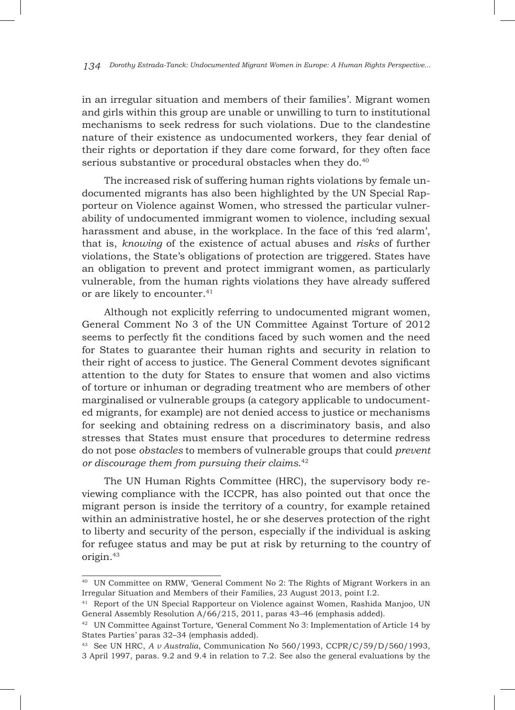in an irregular situation and members of their families'. Migrant women and girls within this group are unable or unwilling to turn to institutional mechanisms to seek redress for such violations. Due to the clandestine nature of their existence as undocumented workers, they fear denial of their rights or deportation if they dare come forward, for they often face serious substantive or procedural obstacles when they do.<sup>40</sup>

The increased risk of suffering human rights violations by female undocumented migrants has also been highlighted by the UN Special Rapporteur on Violence against Women, who stressed the particular vulnerability of undocumented immigrant women to violence, including sexual harassment and abuse, in the workplace. In the face of this 'red alarm', that is, *knowing* of the existence of actual abuses and *risks* of further violations, the State's obligations of protection are triggered. States have an obligation to prevent and protect immigrant women, as particularly vulnerable, from the human rights violations they have already suffered or are likely to encounter.<sup>41</sup>

Although not explicitly referring to undocumented migrant women, General Comment No 3 of the UN Committee Against Torture of 2012 seems to perfectly fit the conditions faced by such women and the need for States to guarantee their human rights and security in relation to their right of access to justice. The General Comment devotes significant attention to the duty for States to ensure that women and also victims of torture or inhuman or degrading treatment who are members of other marginalised or vulnerable groups (a category applicable to undocumented migrants, for example) are not denied access to justice or mechanisms for seeking and obtaining redress on a discriminatory basis, and also stresses that States must ensure that procedures to determine redress do not pose *obstacles* to members of vulnerable groups that could *prevent or discourage them from pursuing their claims*. 42

The UN Human Rights Committee (HRC), the supervisory body reviewing compliance with the ICCPR, has also pointed out that once the migrant person is inside the territory of a country, for example retained within an administrative hostel, he or she deserves protection of the right to liberty and security of the person, especially if the individual is asking for refugee status and may be put at risk by returning to the country of origin.43

<sup>40</sup> UN Committee on RMW, 'General Comment No 2: The Rights of Migrant Workers in an Irregular Situation and Members of their Families*,* 23 August 2013, point I.2.

<sup>41</sup> Report of the UN Special Rapporteur on Violence against Women, Rashida Manjoo, UN General Assembly Resolution A/66/215, 2011, paras 43–46 (emphasis added).

<sup>42</sup> UN Committee Against Torture, 'General Comment No 3: Implementation of Article 14 by States Parties' paras 32–34 (emphasis added).

<sup>43</sup> See UN HRC, *A v Australia*, Communication No 560/1993, CCPR/C/59/D/560/1993,

<sup>3</sup> April 1997, paras. 9.2 and 9.4 in relation to 7.2. See also the general evaluations by the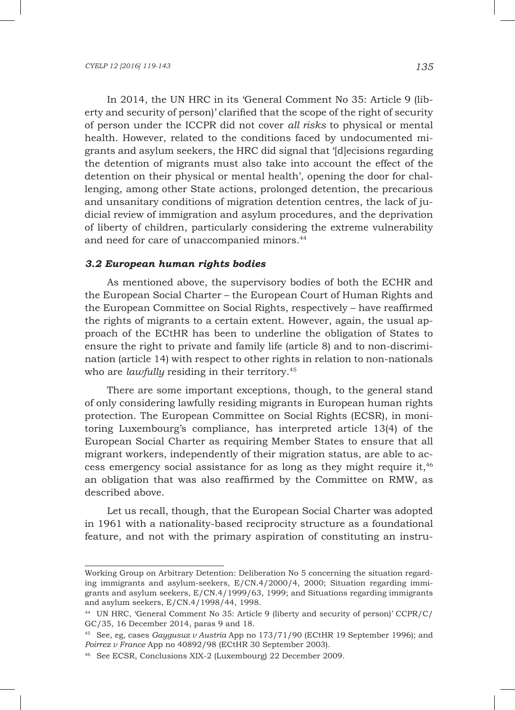In 2014, the UN HRC in its 'General Comment No 35: Article 9 (liberty and security of person)' clarified that the scope of the right of security of person under the ICCPR did not cover *all risks* to physical or mental health. However, related to the conditions faced by undocumented migrants and asylum seekers, the HRC did signal that '[d]ecisions regarding the detention of migrants must also take into account the effect of the detention on their physical or mental health', opening the door for challenging, among other State actions, prolonged detention, the precarious and unsanitary conditions of migration detention centres, the lack of judicial review of immigration and asylum procedures, and the deprivation of liberty of children, particularly considering the extreme vulnerability and need for care of unaccompanied minors.<sup>44</sup>

## *3.2 European human rights bodies*

As mentioned above, the supervisory bodies of both the ECHR and the European Social Charter – the European Court of Human Rights and the European Committee on Social Rights, respectively – have reaffirmed the rights of migrants to a certain extent. However, again, the usual approach of the ECtHR has been to underline the obligation of States to ensure the right to private and family life (article 8) and to non-discrimination (article 14) with respect to other rights in relation to non-nationals who are *lawfully* residing in their territory.<sup>45</sup>

There are some important exceptions, though, to the general stand of only considering lawfully residing migrants in European human rights protection. The European Committee on Social Rights (ECSR), in monitoring Luxembourg's compliance, has interpreted article 13(4) of the European Social Charter as requiring Member States to ensure that all migrant workers, independently of their migration status, are able to access emergency social assistance for as long as they might require it,46 an obligation that was also reaffirmed by the Committee on RMW, as described above.

Let us recall, though, that the European Social Charter was adopted in 1961 with a nationality-based reciprocity structure as a foundational feature, and not with the primary aspiration of constituting an instru-

Working Group on Arbitrary Detention: Deliberation No 5 concerning the situation regarding immigrants and asylum-seekers, E/CN.4/2000/4, 2000; Situation regarding immigrants and asylum seekers, E/CN.4/1999/63, 1999; and Situations regarding immigrants and asylum seekers, E/CN.4/1998/44, 1998.

<sup>44</sup> UN HRC, 'General Comment No 35: Article 9 (liberty and security of person)' CCPR/C/ GC/35, 16 December 2014, paras 9 and 18.

<sup>45</sup> See, eg, cases *Gaygusuz v Austria* App no 173/71/90 (ECtHR 19 September 1996); and *Poirrez v France* App no 40892/98 (ECtHR 30 September 2003).

<sup>46</sup> See ECSR, Conclusions XIX-2 (Luxembourg) 22 December 2009.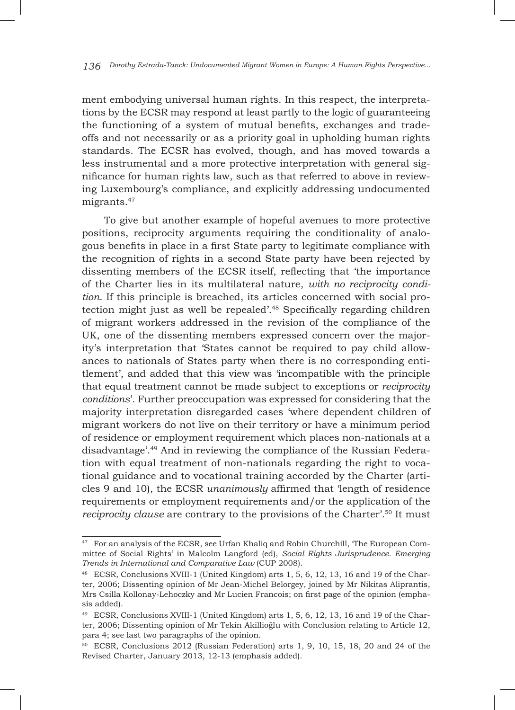ment embodying universal human rights. In this respect, the interpretations by the ECSR may respond at least partly to the logic of guaranteeing the functioning of a system of mutual benefits, exchanges and tradeoffs and not necessarily or as a priority goal in upholding human rights standards. The ECSR has evolved, though, and has moved towards a less instrumental and a more protective interpretation with general significance for human rights law, such as that referred to above in reviewing Luxembourg's compliance, and explicitly addressing undocumented migrants.47

To give but another example of hopeful avenues to more protective positions, reciprocity arguments requiring the conditionality of analogous benefits in place in a first State party to legitimate compliance with the recognition of rights in a second State party have been rejected by dissenting members of the ECSR itself, reflecting that 'the importance of the Charter lies in its multilateral nature, *with no reciprocity condition*. If this principle is breached, its articles concerned with social protection might just as well be repealed'.48 Specifically regarding children of migrant workers addressed in the revision of the compliance of the UK, one of the dissenting members expressed concern over the majority's interpretation that 'States cannot be required to pay child allowances to nationals of States party when there is no corresponding entitlement', and added that this view was 'incompatible with the principle that equal treatment cannot be made subject to exceptions or *reciprocity conditions*'. Further preoccupation was expressed for considering that the majority interpretation disregarded cases 'where dependent children of migrant workers do not live on their territory or have a minimum period of residence or employment requirement which places non-nationals at a disadvantage'.49 And in reviewing the compliance of the Russian Federation with equal treatment of non-nationals regarding the right to vocational guidance and to vocational training accorded by the Charter (articles 9 and 10), the ECSR *unanimously* affirmed that 'length of residence requirements or employment requirements and/or the application of the *reciprocity clause* are contrary to the provisions of the Charter'.<sup>50</sup> It must

<sup>47</sup> For an analysis of the ECSR, see Urfan Khaliq and Robin Churchill, 'The European Committee of Social Rights' in Malcolm Langford (ed), *Social Rights Jurisprudence. Emerging Trends in International and Comparative Law* (CUP 2008).

<sup>48</sup> ECSR, Conclusions XVIII-1 (United Kingdom) arts 1, 5, 6, 12, 13, 16 and 19 of the Charter, 2006; Dissenting opinion of Mr Jean-Michel Belorgey, joined by Mr Nikitas Aliprantis, Mrs Csilla Kollonay-Lehoczky and Mr Lucien Francois; on first page of the opinion (emphasis added).

<sup>49</sup> ECSR, Conclusions XVIII-1 (United Kingdom) arts 1, 5, 6, 12, 13, 16 and 19 of the Charter, 2006; Dissenting opinion of Mr Tekin Akillioğlu with Conclusion relating to Article 12, para 4; see last two paragraphs of the opinion.

<sup>50</sup> ECSR, Conclusions 2012 (Russian Federation) arts 1, 9, 10, 15, 18, 20 and 24 of the Revised Charter, January 2013, 12-13 (emphasis added).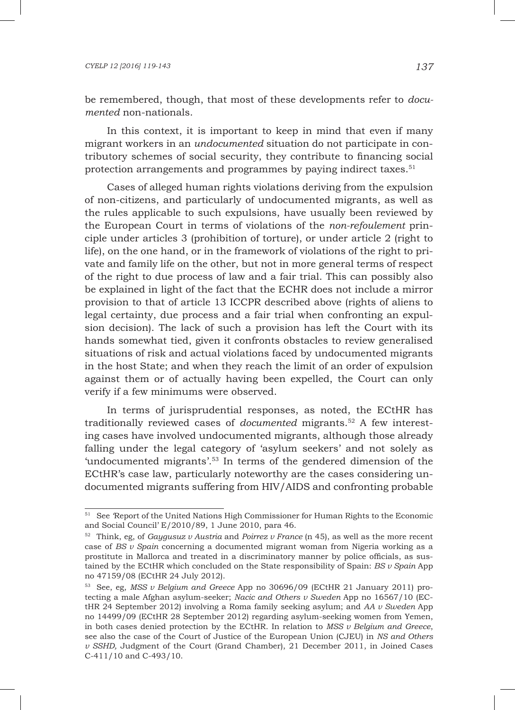be remembered, though, that most of these developments refer to *documented* non-nationals.

In this context, it is important to keep in mind that even if many migrant workers in an *undocumented* situation do not participate in contributory schemes of social security, they contribute to financing social protection arrangements and programmes by paying indirect taxes.<sup>51</sup>

Cases of alleged human rights violations deriving from the expulsion of non-citizens, and particularly of undocumented migrants, as well as the rules applicable to such expulsions, have usually been reviewed by the European Court in terms of violations of the *non-refoulement* principle under articles 3 (prohibition of torture), or under article 2 (right to life), on the one hand, or in the framework of violations of the right to private and family life on the other, but not in more general terms of respect of the right to due process of law and a fair trial. This can possibly also be explained in light of the fact that the ECHR does not include a mirror provision to that of article 13 ICCPR described above (rights of aliens to legal certainty, due process and a fair trial when confronting an expulsion decision). The lack of such a provision has left the Court with its hands somewhat tied, given it confronts obstacles to review generalised situations of risk and actual violations faced by undocumented migrants in the host State; and when they reach the limit of an order of expulsion against them or of actually having been expelled, the Court can only verify if a few minimums were observed.

In terms of jurisprudential responses, as noted, the ECtHR has traditionally reviewed cases of *documented* migrants.52 A few interesting cases have involved undocumented migrants, although those already falling under the legal category of 'asylum seekers' and not solely as 'undocumented migrants'.53 In terms of the gendered dimension of the ECtHR's case law, particularly noteworthy are the cases considering undocumented migrants suffering from HIV/AIDS and confronting probable

<sup>51</sup> See *'*Report of the United Nations High Commissioner for Human Rights to the Economic and Social Council' E/2010/89, 1 June 2010, para 46.

 $52$  Think, eg, of *Gaygusuz v Austria* and *Poirrez v France* (n 45), as well as the more recent case of *BS v Spain* concerning a documented migrant woman from Nigeria working as a prostitute in Mallorca and treated in a discriminatory manner by police officials, as sustained by the ECtHR which concluded on the State responsibility of Spain: *BS v Spain* App no 47159/08 (ECtHR 24 July 2012).

<sup>53</sup> See, eg, *MSS v Belgium and Greece* App no 30696/09 (ECtHR 21 January 2011) protecting a male Afghan asylum-seeker; *Nacic and Others v Sweden* App no 16567/10 (ECtHR 24 September 2012) involving a Roma family seeking asylum; and *AA v Sweden* App no 14499/09 (ECtHR 28 September 2012) regarding asylum-seeking women from Yemen, in both cases denied protection by the ECtHR. In relation to *MSS v Belgium and Greece*, see also the case of the Court of Justice of the European Union (CJEU) in *NS and Others v SSHD,* Judgment of the Court (Grand Chamber), 21 December 2011, in Joined Cases C‑411/10 and C‑493/10.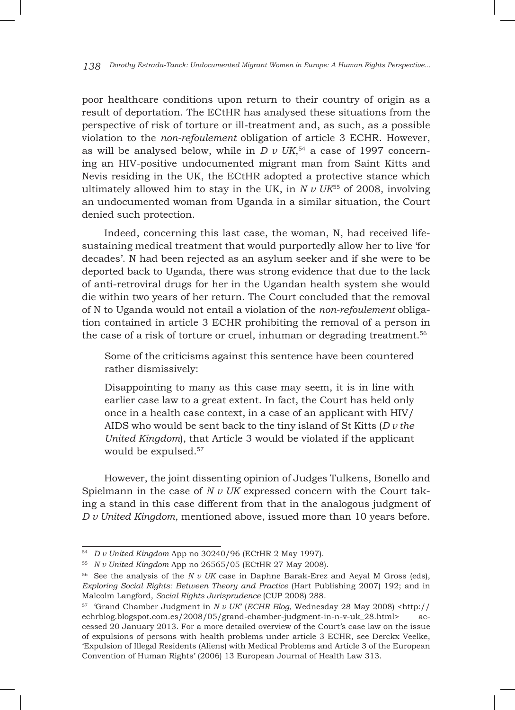poor healthcare conditions upon return to their country of origin as a result of deportation. The ECtHR has analysed these situations from the perspective of risk of torture or ill-treatment and, as such, as a possible violation to the *non-refoulement* obligation of article 3 ECHR. However, as will be analysed below, while in *D v UK*, 54 a case of 1997 concerning an HIV-positive undocumented migrant man from Saint Kitts and Nevis residing in the UK, the ECtHR adopted a protective stance which ultimately allowed him to stay in the UK, in  $N \nu U K^{55}$  of 2008, involving an undocumented woman from Uganda in a similar situation, the Court denied such protection.

Indeed, concerning this last case, the woman, N, had received lifesustaining medical treatment that would purportedly allow her to live 'for decades'. N had been rejected as an asylum seeker and if she were to be deported back to Uganda, there was strong evidence that due to the lack of anti-retroviral drugs for her in the Ugandan health system she would die within two years of her return. The Court concluded that the removal of N to Uganda would not entail a violation of the *non-refoulement* obligation contained in article 3 ECHR prohibiting the removal of a person in the case of a risk of torture or cruel, inhuman or degrading treatment.56

Some of the criticisms against this sentence have been countered rather dismissively:

Disappointing to many as this case may seem, it is in line with earlier case law to a great extent. In fact, the Court has held only once in a health case context, in a case of an applicant with HIV/ AIDS who would be sent back to the tiny island of St Kitts (*D v the United Kingdom*), that Article 3 would be violated if the applicant would be expulsed.57

However, the joint dissenting opinion of Judges Tulkens, Bonello and Spielmann in the case of *N v UK* expressed concern with the Court taking a stand in this case different from that in the analogous judgment of *D v United Kingdom*, mentioned above, issued more than 10 years before.

<sup>54</sup> *D v United Kingdom* App no 30240/96 (ECtHR 2 May 1997).

<sup>55</sup> *N v United Kingdom* App no 26565/05 (ECtHR 27 May 2008).

 $56$  See the analysis of the *N v UK* case in Daphne Barak-Erez and Aeyal M Gross (eds), *Exploring Social Rights: Between Theory and Practice* (Hart Publishing 2007) 192; and in Malcolm Langford, *Social Rights Jurisprudence* (CUP 2008) 288.

<sup>57</sup> 'Grand Chamber Judgment in *N v UK*' (*ECHR Blog*, Wednesday 28 May 2008) <http:// echrblog.blogspot.com.es/2008/05/grand-chamber-judgment-in-n-v-uk\_28.html> accessed 20 January 2013. For a more detailed overview of the Court's case law on the issue of expulsions of persons with health problems under article 3 ECHR, see Derckx Veelke, 'Expulsion of Illegal Residents (Aliens) with Medical Problems and Article 3 of the European Convention of Human Rights' (2006) 13 European Journal of Health Law 313.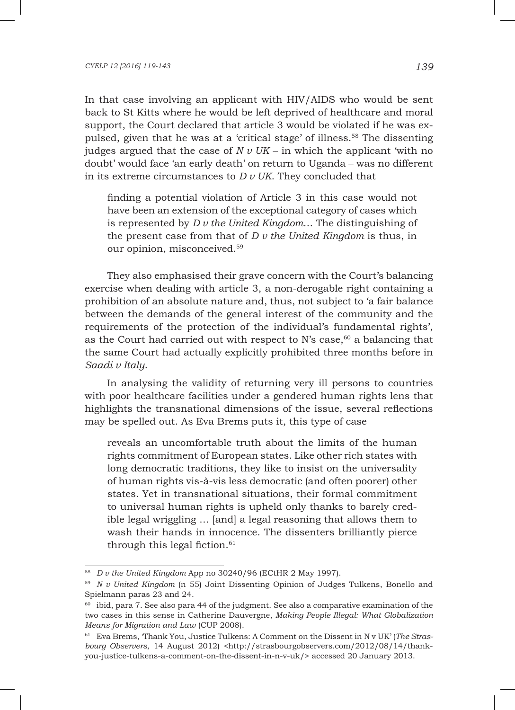In that case involving an applicant with HIV/AIDS who would be sent back to St Kitts where he would be left deprived of healthcare and moral support, the Court declared that article 3 would be violated if he was expulsed, given that he was at a 'critical stage' of illness.58 The dissenting judges argued that the case of  $N v U K$  – in which the applicant 'with no doubt' would face 'an early death' on return to Uganda – was no different in its extreme circumstances to *D v UK*. They concluded that

finding a potential violation of Article 3 in this case would not have been an extension of the exceptional category of cases which is represented by *D v the United Kingdom*… The distinguishing of the present case from that of *D v the United Kingdom* is thus, in our opinion, misconceived.59

They also emphasised their grave concern with the Court's balancing exercise when dealing with article 3, a non-derogable right containing a prohibition of an absolute nature and, thus, not subject to 'a fair balance between the demands of the general interest of the community and the requirements of the protection of the individual's fundamental rights', as the Court had carried out with respect to N's case, $60$  a balancing that the same Court had actually explicitly prohibited three months before in *Saadi v Italy*.

In analysing the validity of returning very ill persons to countries with poor healthcare facilities under a gendered human rights lens that highlights the transnational dimensions of the issue, several reflections may be spelled out. As Eva Brems puts it, this type of case

reveals an uncomfortable truth about the limits of the human rights commitment of European states. Like other rich states with long democratic traditions, they like to insist on the universality of human rights vis-à-vis less democratic (and often poorer) other states. Yet in transnational situations, their formal commitment to universal human rights is upheld only thanks to barely credible legal wriggling … [and] a legal reasoning that allows them to wash their hands in innocence. The dissenters brilliantly pierce through this legal fiction.<sup>61</sup>

<sup>58</sup> *D v the United Kingdom* App no 30240/96 (ECtHR 2 May 1997).

<sup>59</sup> *N v United Kingdom* (n 55) Joint Dissenting Opinion of Judges Tulkens, Bonello and Spielmann paras 23 and 24.

 $60$  ibid, para 7. See also para 44 of the judgment. See also a comparative examination of the two cases in this sense in Catherine Dauvergne, *Making People Illegal: What Globalization Means for Migration and Law* (CUP 2008).

<sup>61</sup> Eva Brems, 'Thank You, Justice Tulkens: A Comment on the Dissent in N v UK' (*The Strasbourg Observers*, 14 August 2012) <http://strasbourgobservers.com/2012/08/14/thankyou-justice-tulkens-a-comment-on-the-dissent-in-n-v-uk/> accessed 20 January 2013.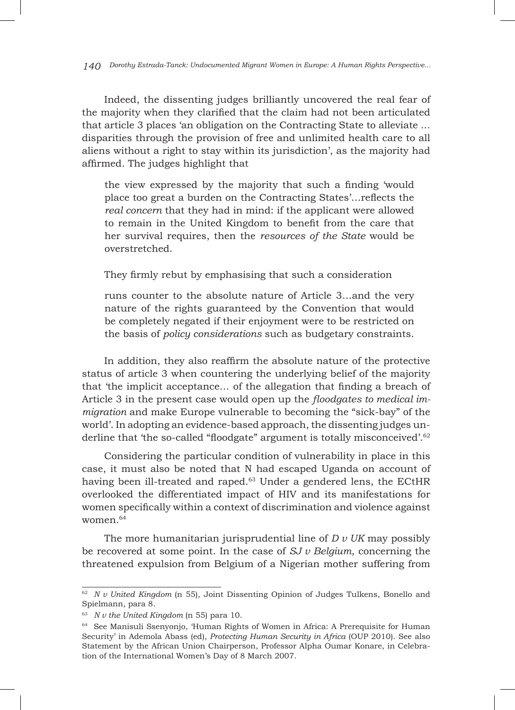Indeed, the dissenting judges brilliantly uncovered the real fear of the majority when they clarified that the claim had not been articulated that article 3 places 'an obligation on the Contracting State to alleviate ... disparities through the provision of free and unlimited health care to all aliens without a right to stay within its jurisdiction', as the majority had affirmed. The judges highlight that

the view expressed by the majority that such a finding 'would place too great a burden on the Contracting States'…reflects the *real concern* that they had in mind: if the applicant were allowed to remain in the United Kingdom to benefit from the care that her survival requires, then the *resources of the State* would be overstretched.

They firmly rebut by emphasising that such a consideration

runs counter to the absolute nature of Article 3…and the very nature of the rights guaranteed by the Convention that would be completely negated if their enjoyment were to be restricted on the basis of *policy considerations* such as budgetary constraints.

In addition, they also reaffirm the absolute nature of the protective status of article 3 when countering the underlying belief of the majority that 'the implicit acceptance… of the allegation that finding a breach of Article 3 in the present case would open up the *floodgates to medical immigration* and make Europe vulnerable to becoming the "sick-bay" of the world'. In adopting an evidence-based approach, the dissenting judges underline that 'the so-called "floodgate" argument is totally misconceived'.62

Considering the particular condition of vulnerability in place in this case, it must also be noted that N had escaped Uganda on account of having been ill-treated and raped.<sup>63</sup> Under a gendered lens, the ECtHR overlooked the differentiated impact of HIV and its manifestations for women specifically within a context of discrimination and violence against women.<sup>64</sup>

The more humanitarian jurisprudential line of *D v UK* may possibly be recovered at some point. In the case of *SJ v Belgium*, concerning the threatened expulsion from Belgium of a Nigerian mother suffering from

<sup>62</sup> *N v United Kingdom* (n 55), Joint Dissenting Opinion of Judges Tulkens, Bonello and Spielmann, para 8.

<sup>63</sup> *N v the United Kingdom* (n 55) para 10.

<sup>64</sup> See Manisuli Ssenyonjo, 'Human Rights of Women in Africa: A Prerequisite for Human Security' in Ademola Abass (ed), *Protecting Human Security in Africa* (OUP 2010). See also Statement by the African Union Chairperson, Professor Alpha Oumar Konare, in Celebration of the International Women's Day of 8 March 2007.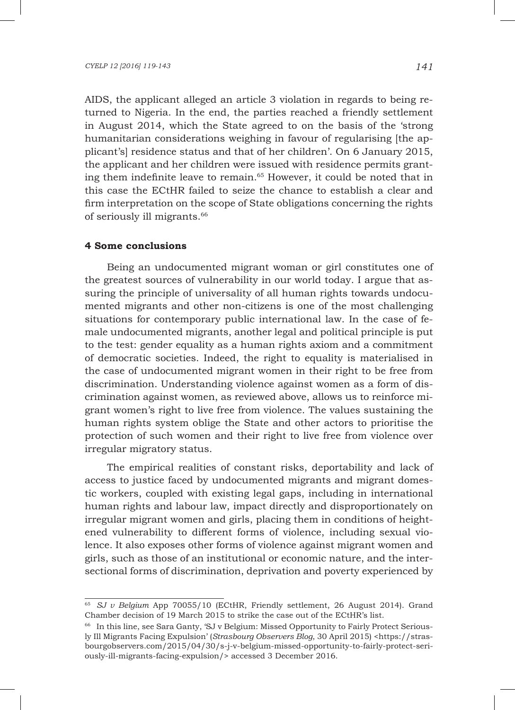AIDS, the applicant alleged an article 3 violation in regards to being returned to Nigeria. In the end, the parties reached a friendly settlement in August 2014, which the State agreed to on the basis of the 'strong humanitarian considerations weighing in favour of regularising [the applicant's] residence status and that of her children'. On 6 January 2015, the applicant and her children were issued with residence permits granting them indefinite leave to remain.65 However, it could be noted that in this case the ECtHR failed to seize the chance to establish a clear and firm interpretation on the scope of State obligations concerning the rights of seriously ill migrants.66

## **4 Some conclusions**

Being an undocumented migrant woman or girl constitutes one of the greatest sources of vulnerability in our world today. I argue that assuring the principle of universality of all human rights towards undocumented migrants and other non-citizens is one of the most challenging situations for contemporary public international law. In the case of female undocumented migrants, another legal and political principle is put to the test: gender equality as a human rights axiom and a commitment of democratic societies. Indeed, the right to equality is materialised in the case of undocumented migrant women in their right to be free from discrimination. Understanding violence against women as a form of discrimination against women, as reviewed above, allows us to reinforce migrant women's right to live free from violence. The values sustaining the human rights system oblige the State and other actors to prioritise the protection of such women and their right to live free from violence over irregular migratory status.

The empirical realities of constant risks, deportability and lack of access to justice faced by undocumented migrants and migrant domestic workers, coupled with existing legal gaps, including in international human rights and labour law, impact directly and disproportionately on irregular migrant women and girls, placing them in conditions of heightened vulnerability to different forms of violence, including sexual violence. It also exposes other forms of violence against migrant women and girls, such as those of an institutional or economic nature, and the intersectional forms of discrimination, deprivation and poverty experienced by

<sup>65</sup> *SJ v Belgium* App 70055/10 (ECtHR, Friendly settlement, 26 August 2014). Grand Chamber decision of 19 March 2015 to strike the case out of the ECtHR's list.

<sup>&</sup>lt;sup>66</sup> In this line, see Sara Ganty, 'SJ v Belgium: Missed Opportunity to Fairly Protect Seriously Ill Migrants Facing Expulsion' (*Strasbourg Observers Blog*, 30 April 2015) <https://strasbourgobservers.com/2015/04/30/s-j-v-belgium-missed-opportunity-to-fairly-protect-seriously-ill-migrants-facing-expulsion/> accessed 3 December 2016.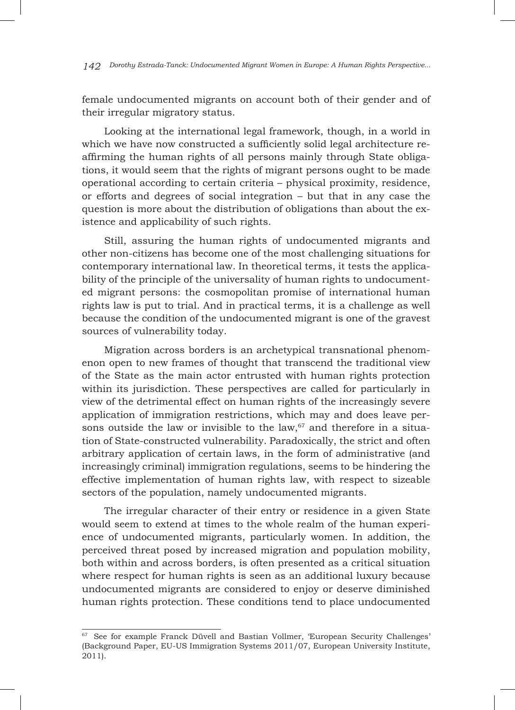142 *Dorothy Estrada-Tanck: Undocumented Migrant Women in Europe: A Human Rights Perspective...* 

female undocumented migrants on account both of their gender and of their irregular migratory status.

Looking at the international legal framework, though, in a world in which we have now constructed a sufficiently solid legal architecture reaffirming the human rights of all persons mainly through State obligations, it would seem that the rights of migrant persons ought to be made operational according to certain criteria – physical proximity, residence, or efforts and degrees of social integration – but that in any case the question is more about the distribution of obligations than about the existence and applicability of such rights.

Still, assuring the human rights of undocumented migrants and other non-citizens has become one of the most challenging situations for contemporary international law. In theoretical terms, it tests the applicability of the principle of the universality of human rights to undocumented migrant persons: the cosmopolitan promise of international human rights law is put to trial. And in practical terms, it is a challenge as well because the condition of the undocumented migrant is one of the gravest sources of vulnerability today.

Migration across borders is an archetypical transnational phenomenon open to new frames of thought that transcend the traditional view of the State as the main actor entrusted with human rights protection within its jurisdiction. These perspectives are called for particularly in view of the detrimental effect on human rights of the increasingly severe application of immigration restrictions, which may and does leave persons outside the law or invisible to the law,<sup>67</sup> and therefore in a situation of State-constructed vulnerability. Paradoxically, the strict and often arbitrary application of certain laws, in the form of administrative (and increasingly criminal) immigration regulations, seems to be hindering the effective implementation of human rights law, with respect to sizeable sectors of the population, namely undocumented migrants.

The irregular character of their entry or residence in a given State would seem to extend at times to the whole realm of the human experience of undocumented migrants, particularly women. In addition, the perceived threat posed by increased migration and population mobility, both within and across borders, is often presented as a critical situation where respect for human rights is seen as an additional luxury because undocumented migrants are considered to enjoy or deserve diminished human rights protection. These conditions tend to place undocumented

<sup>67</sup> See for example Franck Düvell and Bastian Vollmer, 'European Security Challenges' (Background Paper, EU-US Immigration Systems 2011/07, European University Institute, 2011).